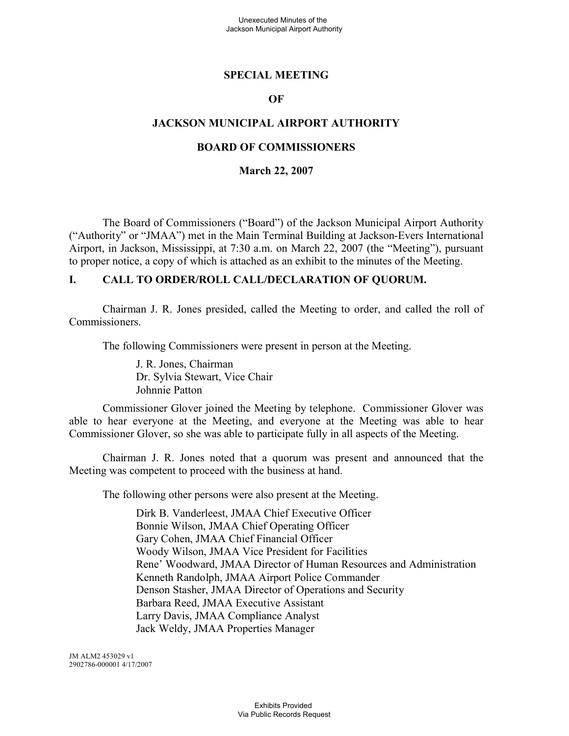### **SPECIAL MEETING**

#### **OF**

### **JACKSON MUNICIPAL AIRPORT AUTHORITY**

### **BOARD OF COMMISSIONERS**

#### **March 22, 2007**

The Board of Commissioners ("Board") of the Jackson Municipal Airport Authority ("Authority" or "JMAA") met in the Main Terminal Building at Jackson-Evers International Airport, in Jackson, Mississippi, at 7:30 a.m. on March 22, 2007 (the "Meeting"), pursuant to proper notice, a copy of which is attached as an exhibit to the minutes of the Meeting.

#### **I. CALL TO ORDER/ROLL CALL/DECLARATION OF QUORUM.**

Chairman J. R. Jones presided, called the Meeting to order, and called the roll of Commissioners.

The following Commissioners were present in person at the Meeting.

J. R. Jones, Chairman Dr. Sylvia Stewart, Vice Chair Johnnie Patton

Commissioner Glover joined the Meeting by telephone. Commissioner Glover was able to hear everyone at the Meeting, and everyone at the Meeting was able to hear Commissioner Glover, so she was able to participate fully in all aspects of the Meeting.

Chairman J. R. Jones noted that a quorum was present and announced that the Meeting was competent to proceed with the business at hand.

The following other persons were also present at the Meeting.

Dirk B. Vanderleest, JMAA Chief Executive Officer Bonnie Wilson, JMAA Chief Operating Officer Gary Cohen, JMAA Chief Financial Officer Woody Wilson, JMAA Vice President for Facilities Rene' Woodward, JMAA Director of Human Resources and Administration Kenneth Randolph, JMAA Airport Police Commander Denson Stasher, JMAA Director of Operations and Security Barbara Reed, JMAA Executive Assistant Larry Davis, JMAA Compliance Analyst Jack Weldy, JMAA Properties Manager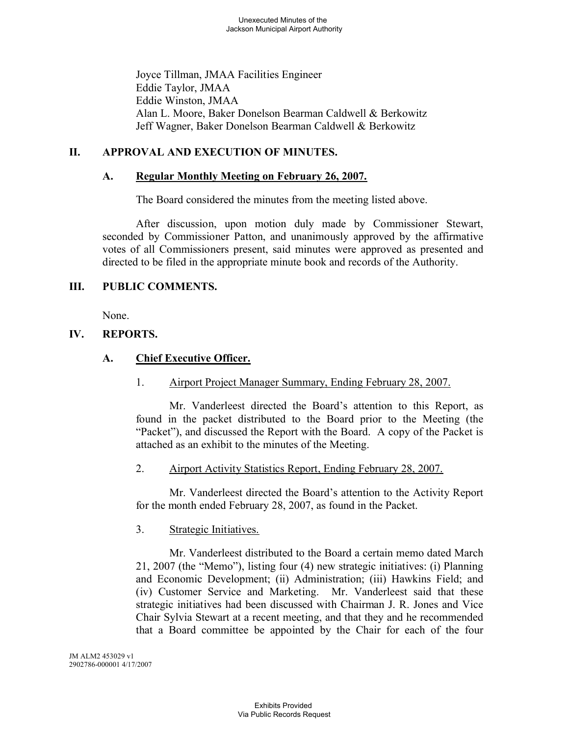Joyce Tillman, JMAA Facilities Engineer Eddie Taylor, JMAA Eddie Winston, JMAA Alan L. Moore, Baker Donelson Bearman Caldwell & Berkowitz Jeff Wagner, Baker Donelson Bearman Caldwell & Berkowitz

# **II. APPROVAL AND EXECUTION OF MINUTES.**

# **A. Regular Monthly Meeting on February 26, 2007.**

The Board considered the minutes from the meeting listed above.

After discussion, upon motion duly made by Commissioner Stewart, seconded by Commissioner Patton, and unanimously approved by the affirmative votes of all Commissioners present, said minutes were approved as presented and directed to be filed in the appropriate minute book and records of the Authority.

# **III. PUBLIC COMMENTS.**

None.

# **IV. REPORTS.**

# **A. Chief Executive Officer.**

1. Airport Project Manager Summary, Ending February 28, 2007.

Mr. Vanderleest directed the Board's attention to this Report, as found in the packet distributed to the Board prior to the Meeting (the "Packet"), and discussed the Report with the Board. A copy of the Packet is attached as an exhibit to the minutes of the Meeting.

# 2. Airport Activity Statistics Report, Ending February 28, 2007.

Mr. Vanderleest directed the Board's attention to the Activity Report for the month ended February 28, 2007, as found in the Packet.

# 3. Strategic Initiatives.

Mr. Vanderleest distributed to the Board a certain memo dated March 21, 2007 (the "Memo"), listing four (4) new strategic initiatives: (i) Planning and Economic Development; (ii) Administration; (iii) Hawkins Field; and (iv) Customer Service and Marketing. Mr. Vanderleest said that these strategic initiatives had been discussed with Chairman J. R. Jones and Vice Chair Sylvia Stewart at a recent meeting, and that they and he recommended that a Board committee be appointed by the Chair for each of the four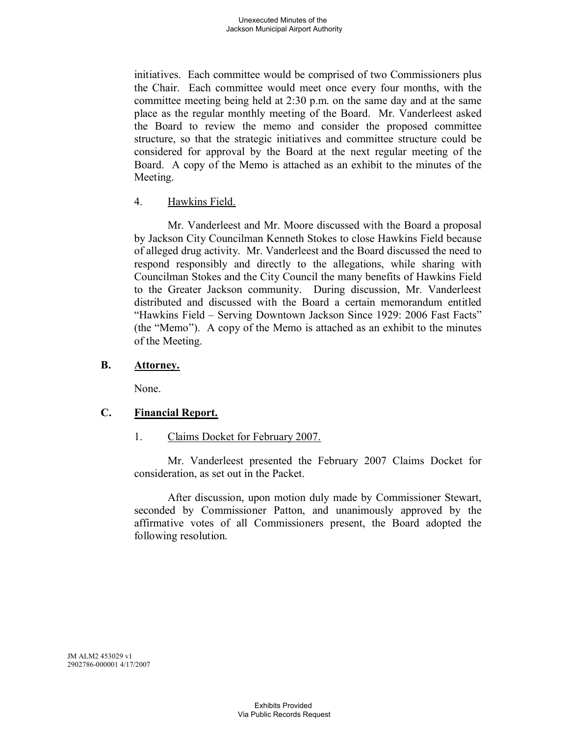initiatives. Each committee would be comprised of two Commissioners plus the Chair. Each committee would meet once every four months, with the committee meeting being held at 2:30 p.m. on the same day and at the same place as the regular monthly meeting of the Board. Mr. Vanderleest asked the Board to review the memo and consider the proposed committee structure, so that the strategic initiatives and committee structure could be considered for approval by the Board at the next regular meeting of the Board. A copy of the Memo is attached as an exhibit to the minutes of the Meeting.

### 4. Hawkins Field.

Mr. Vanderleest and Mr. Moore discussed with the Board a proposal by Jackson City Councilman Kenneth Stokes to close Hawkins Field because of alleged drug activity. Mr. Vanderleest and the Board discussed the need to respond responsibly and directly to the allegations, while sharing with Councilman Stokes and the City Council the many benefits of Hawkins Field to the Greater Jackson community. During discussion, Mr. Vanderleest distributed and discussed with the Board a certain memorandum entitled "Hawkins Field – Serving Downtown Jackson Since 1929: 2006 Fast Facts" (the "Memo"). A copy of the Memo is attached as an exhibit to the minutes of the Meeting.

### **B. Attorney.**

None.

# **C. Financial Report.**

1. Claims Docket for February 2007.

Mr. Vanderleest presented the February 2007 Claims Docket for consideration, as set out in the Packet.

After discussion, upon motion duly made by Commissioner Stewart, seconded by Commissioner Patton, and unanimously approved by the affirmative votes of all Commissioners present, the Board adopted the following resolution.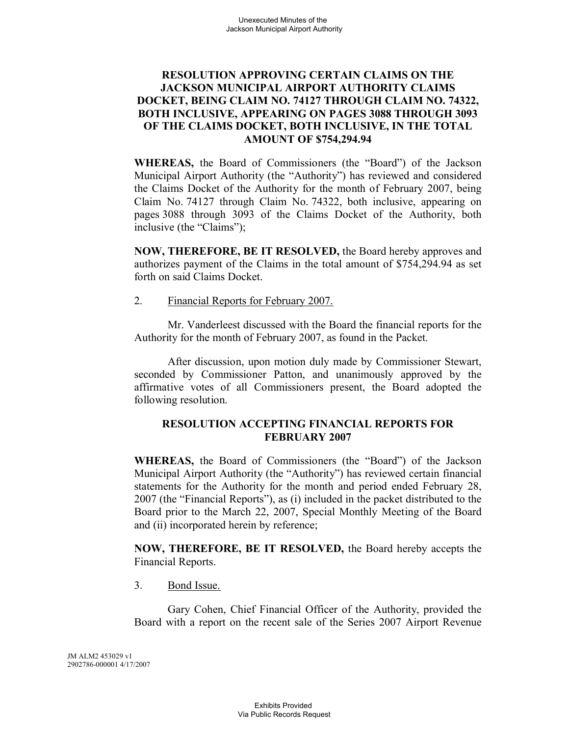# **RESOLUTION APPROVING CERTAIN CLAIMS ON THE JACKSON MUNICIPAL AIRPORT AUTHORITY CLAIMS DOCKET, BEING CLAIM NO. 74127 THROUGH CLAIM NO. 74322, BOTH INCLUSIVE, APPEARING ON PAGES 3088 THROUGH 3093 OF THE CLAIMS DOCKET, BOTH INCLUSIVE, IN THE TOTAL AMOUNT OF \$754,294.94**

**WHEREAS,** the Board of Commissioners (the "Board") of the Jackson Municipal Airport Authority (the "Authority") has reviewed and considered the Claims Docket of the Authority for the month of February 2007, being Claim No. 74127 through Claim No. 74322, both inclusive, appearing on pages 3088 through 3093 of the Claims Docket of the Authority, both inclusive (the "Claims");

**NOW, THEREFORE, BE IT RESOLVED,** the Board hereby approves and authorizes payment of the Claims in the total amount of \$754,294.94 as set forth on said Claims Docket.

2. Financial Reports for February 2007.

Mr. Vanderleest discussed with the Board the financial reports for the Authority for the month of February 2007, as found in the Packet.

After discussion, upon motion duly made by Commissioner Stewart, seconded by Commissioner Patton, and unanimously approved by the affirmative votes of all Commissioners present, the Board adopted the following resolution.

# **RESOLUTION ACCEPTING FINANCIAL REPORTS FOR FEBRUARY 2007**

**WHEREAS,** the Board of Commissioners (the "Board") of the Jackson Municipal Airport Authority (the "Authority") has reviewed certain financial statements for the Authority for the month and period ended February 28, 2007 (the "Financial Reports"), as (i) included in the packet distributed to the Board prior to the March 22, 2007, Special Monthly Meeting of the Board and (ii) incorporated herein by reference;

**NOW, THEREFORE, BE IT RESOLVED,** the Board hereby accepts the Financial Reports.

3. Bond Issue.

Gary Cohen, Chief Financial Officer of the Authority, provided the Board with a report on the recent sale of the Series 2007 Airport Revenue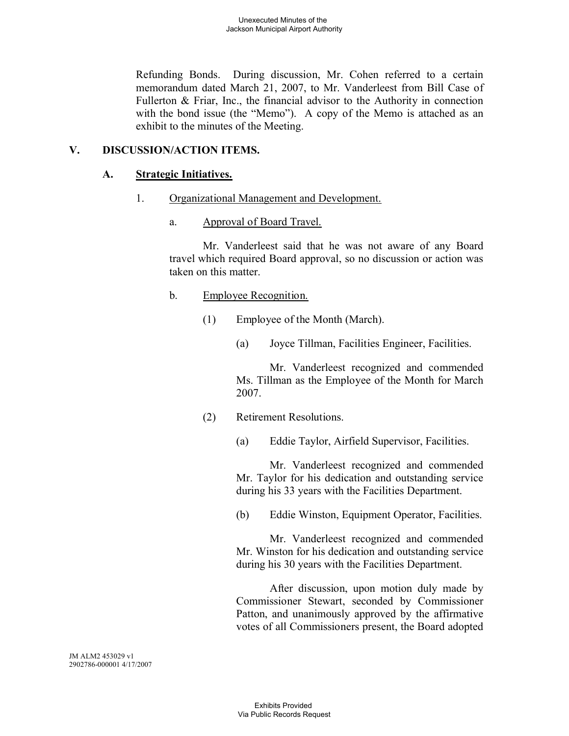Refunding Bonds. During discussion, Mr. Cohen referred to a certain memorandum dated March 21, 2007, to Mr. Vanderleest from Bill Case of Fullerton & Friar, Inc., the financial advisor to the Authority in connection with the bond issue (the "Memo"). A copy of the Memo is attached as an exhibit to the minutes of the Meeting.

# **V. DISCUSSION/ACTION ITEMS.**

# **A. Strategic Initiatives.**

- 1. Organizational Management and Development.
	- a. Approval of Board Travel.

Mr. Vanderleest said that he was not aware of any Board travel which required Board approval, so no discussion or action was taken on this matter.

- b. Employee Recognition.
	- (1) Employee of the Month (March).
		- (a) Joyce Tillman, Facilities Engineer, Facilities.

Mr. Vanderleest recognized and commended Ms. Tillman as the Employee of the Month for March 2007.

(2) Retirement Resolutions.

(a) Eddie Taylor, Airfield Supervisor, Facilities.

Mr. Vanderleest recognized and commended Mr. Taylor for his dedication and outstanding service during his 33 years with the Facilities Department.

(b) Eddie Winston, Equipment Operator, Facilities.

Mr. Vanderleest recognized and commended Mr. Winston for his dedication and outstanding service during his 30 years with the Facilities Department.

After discussion, upon motion duly made by Commissioner Stewart, seconded by Commissioner Patton, and unanimously approved by the affirmative votes of all Commissioners present, the Board adopted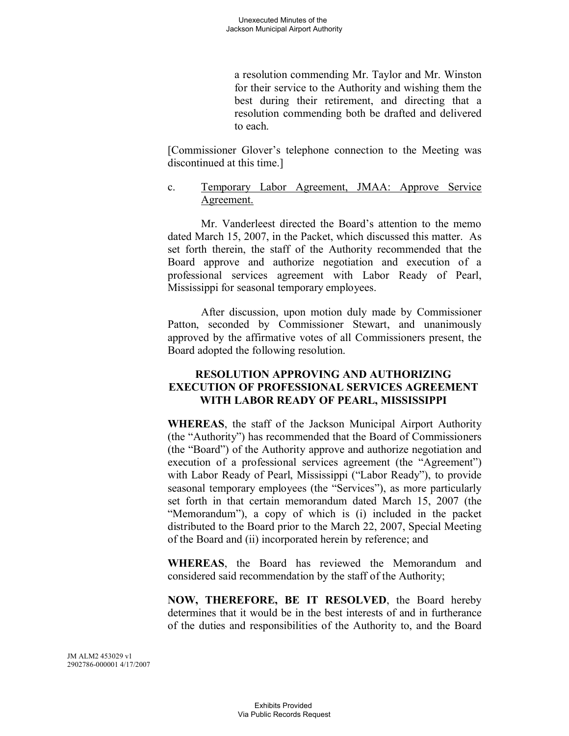a resolution commending Mr. Taylor and Mr. Winston for their service to the Authority and wishing them the best during their retirement, and directing that a resolution commending both be drafted and delivered to each.

[Commissioner Glover's telephone connection to the Meeting was discontinued at this time.]

c. Temporary Labor Agreement, JMAA: Approve Service Agreement.

Mr. Vanderleest directed the Board's attention to the memo dated March 15, 2007, in the Packet, which discussed this matter. As set forth therein, the staff of the Authority recommended that the Board approve and authorize negotiation and execution of a professional services agreement with Labor Ready of Pearl, Mississippi for seasonal temporary employees.

After discussion, upon motion duly made by Commissioner Patton, seconded by Commissioner Stewart, and unanimously approved by the affirmative votes of all Commissioners present, the Board adopted the following resolution.

#### **RESOLUTION APPROVING AND AUTHORIZING EXECUTION OF PROFESSIONAL SERVICES AGREEMENT WITH LABOR READY OF PEARL, MISSISSIPPI**

**WHEREAS**, the staff of the Jackson Municipal Airport Authority (the "Authority") has recommended that the Board of Commissioners (the "Board") of the Authority approve and authorize negotiation and execution of a professional services agreement (the "Agreement") with Labor Ready of Pearl, Mississippi ("Labor Ready"), to provide seasonal temporary employees (the "Services"), as more particularly set forth in that certain memorandum dated March 15, 2007 (the "Memorandum"), a copy of which is (i) included in the packet distributed to the Board prior to the March 22, 2007, Special Meeting of the Board and (ii) incorporated herein by reference; and

**WHEREAS**, the Board has reviewed the Memorandum and considered said recommendation by the staff of the Authority;

**NOW, THEREFORE, BE IT RESOLVED**, the Board hereby determines that it would be in the best interests of and in furtherance of the duties and responsibilities of the Authority to, and the Board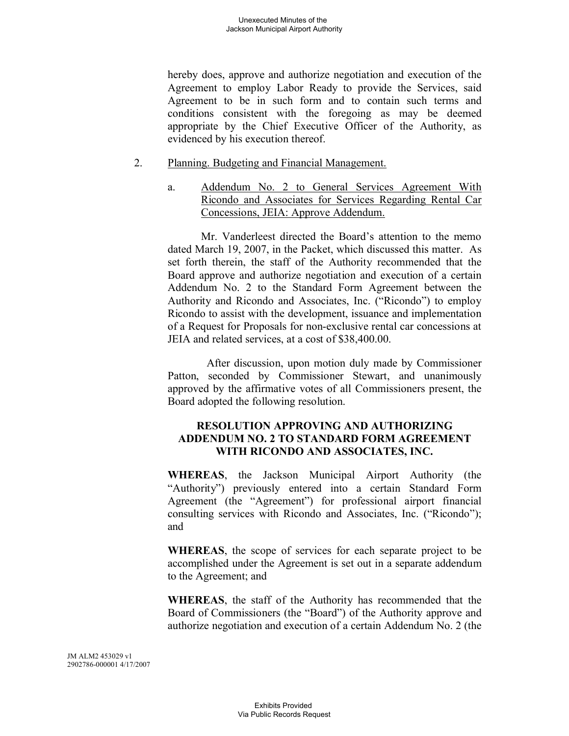hereby does, approve and authorize negotiation and execution of the Agreement to employ Labor Ready to provide the Services, said Agreement to be in such form and to contain such terms and conditions consistent with the foregoing as may be deemed appropriate by the Chief Executive Officer of the Authority, as evidenced by his execution thereof.

#### 2. Planning. Budgeting and Financial Management.

a. Addendum No. 2 to General Services Agreement With Ricondo and Associates for Services Regarding Rental Car Concessions, JEIA: Approve Addendum.

Mr. Vanderleest directed the Board's attention to the memo dated March 19, 2007, in the Packet, which discussed this matter. As set forth therein, the staff of the Authority recommended that the Board approve and authorize negotiation and execution of a certain Addendum No. 2 to the Standard Form Agreement between the Authority and Ricondo and Associates, Inc. ("Ricondo") to employ Ricondo to assist with the development, issuance and implementation of a Request for Proposals for non-exclusive rental car concessions at JEIA and related services, at a cost of \$38,400.00.

After discussion, upon motion duly made by Commissioner Patton, seconded by Commissioner Stewart, and unanimously approved by the affirmative votes of all Commissioners present, the Board adopted the following resolution.

# **RESOLUTION APPROVING AND AUTHORIZING ADDENDUM NO. 2 TO STANDARD FORM AGREEMENT WITH RICONDO AND ASSOCIATES, INC.**

**WHEREAS**, the Jackson Municipal Airport Authority (the "Authority") previously entered into a certain Standard Form Agreement (the "Agreement") for professional airport financial consulting services with Ricondo and Associates, Inc. ("Ricondo"); and

**WHEREAS**, the scope of services for each separate project to be accomplished under the Agreement is set out in a separate addendum to the Agreement; and

**WHEREAS**, the staff of the Authority has recommended that the Board of Commissioners (the "Board") of the Authority approve and authorize negotiation and execution of a certain Addendum No. 2 (the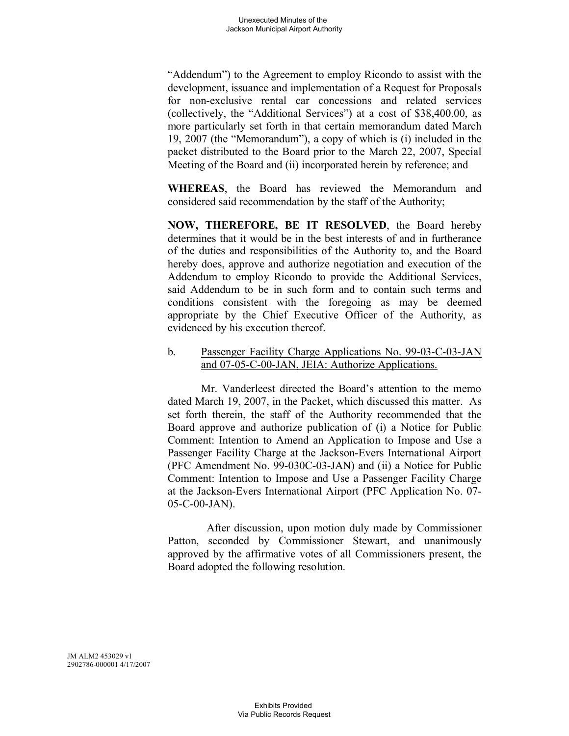"Addendum") to the Agreement to employ Ricondo to assist with the development, issuance and implementation of a Request for Proposals for non-exclusive rental car concessions and related services (collectively, the "Additional Services") at a cost of \$38,400.00, as more particularly set forth in that certain memorandum dated March 19, 2007 (the "Memorandum"), a copy of which is (i) included in the packet distributed to the Board prior to the March 22, 2007, Special Meeting of the Board and (ii) incorporated herein by reference; and

**WHEREAS**, the Board has reviewed the Memorandum and considered said recommendation by the staff of the Authority;

**NOW, THEREFORE, BE IT RESOLVED**, the Board hereby determines that it would be in the best interests of and in furtherance of the duties and responsibilities of the Authority to, and the Board hereby does, approve and authorize negotiation and execution of the Addendum to employ Ricondo to provide the Additional Services, said Addendum to be in such form and to contain such terms and conditions consistent with the foregoing as may be deemed appropriate by the Chief Executive Officer of the Authority, as evidenced by his execution thereof.

### b. Passenger Facility Charge Applications No. 99-03-C-03-JAN and 07-05-C-00-JAN, JEIA: Authorize Applications.

Mr. Vanderleest directed the Board's attention to the memo dated March 19, 2007, in the Packet, which discussed this matter. As set forth therein, the staff of the Authority recommended that the Board approve and authorize publication of (i) a Notice for Public Comment: Intention to Amend an Application to Impose and Use a Passenger Facility Charge at the Jackson-Evers International Airport (PFC Amendment No. 99-030C-03-JAN) and (ii) a Notice for Public Comment: Intention to Impose and Use a Passenger Facility Charge at the Jackson-Evers International Airport (PFC Application No. 07- 05-C-00-JAN).

After discussion, upon motion duly made by Commissioner Patton, seconded by Commissioner Stewart, and unanimously approved by the affirmative votes of all Commissioners present, the Board adopted the following resolution.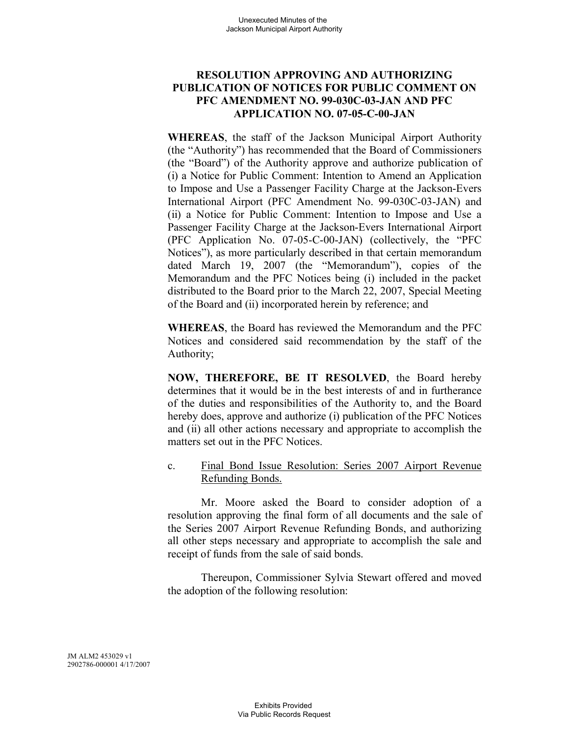# **RESOLUTION APPROVING AND AUTHORIZING PUBLICATION OF NOTICES FOR PUBLIC COMMENT ON PFC AMENDMENT NO. 99-030C-03-JAN AND PFC APPLICATION NO. 07-05-C-00-JAN**

**WHEREAS**, the staff of the Jackson Municipal Airport Authority (the "Authority") has recommended that the Board of Commissioners (the "Board") of the Authority approve and authorize publication of (i) a Notice for Public Comment: Intention to Amend an Application to Impose and Use a Passenger Facility Charge at the Jackson-Evers International Airport (PFC Amendment No. 99-030C-03-JAN) and (ii) a Notice for Public Comment: Intention to Impose and Use a Passenger Facility Charge at the Jackson-Evers International Airport (PFC Application No. 07-05-C-00-JAN) (collectively, the "PFC Notices"), as more particularly described in that certain memorandum dated March 19, 2007 (the "Memorandum"), copies of the Memorandum and the PFC Notices being (i) included in the packet distributed to the Board prior to the March 22, 2007, Special Meeting of the Board and (ii) incorporated herein by reference; and

**WHEREAS**, the Board has reviewed the Memorandum and the PFC Notices and considered said recommendation by the staff of the Authority;

**NOW, THEREFORE, BE IT RESOLVED**, the Board hereby determines that it would be in the best interests of and in furtherance of the duties and responsibilities of the Authority to, and the Board hereby does, approve and authorize (i) publication of the PFC Notices and (ii) all other actions necessary and appropriate to accomplish the matters set out in the PFC Notices.

### c. Final Bond Issue Resolution: Series 2007 Airport Revenue Refunding Bonds.

Mr. Moore asked the Board to consider adoption of a resolution approving the final form of all documents and the sale of the Series 2007 Airport Revenue Refunding Bonds, and authorizing all other steps necessary and appropriate to accomplish the sale and receipt of funds from the sale of said bonds.

Thereupon, Commissioner Sylvia Stewart offered and moved the adoption of the following resolution: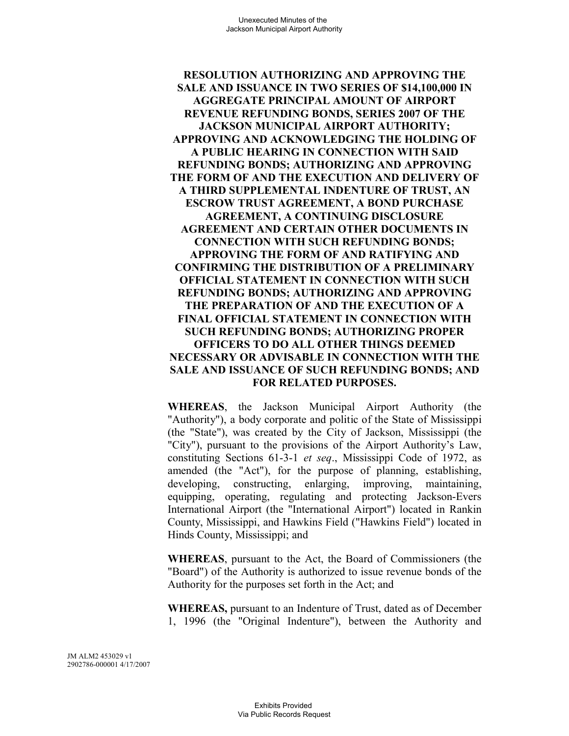**RESOLUTION AUTHORIZING AND APPROVING THE SALE AND ISSUANCE IN TWO SERIES OF \$14,100,000 IN AGGREGATE PRINCIPAL AMOUNT OF AIRPORT REVENUE REFUNDING BONDS, SERIES 2007 OF THE JACKSON MUNICIPAL AIRPORT AUTHORITY; APPROVING AND ACKNOWLEDGING THE HOLDING OF A PUBLIC HEARING IN CONNECTION WITH SAID REFUNDING BONDS; AUTHORIZING AND APPROVING THE FORM OF AND THE EXECUTION AND DELIVERY OF A THIRD SUPPLEMENTAL INDENTURE OF TRUST, AN ESCROW TRUST AGREEMENT, A BOND PURCHASE AGREEMENT, A CONTINUING DISCLOSURE AGREEMENT AND CERTAIN OTHER DOCUMENTS IN CONNECTION WITH SUCH REFUNDING BONDS; APPROVING THE FORM OF AND RATIFYING AND CONFIRMING THE DISTRIBUTION OF A PRELIMINARY OFFICIAL STATEMENT IN CONNECTION WITH SUCH REFUNDING BONDS; AUTHORIZING AND APPROVING THE PREPARATION OF AND THE EXECUTION OF A FINAL OFFICIAL STATEMENT IN CONNECTION WITH SUCH REFUNDING BONDS; AUTHORIZING PROPER OFFICERS TO DO ALL OTHER THINGS DEEMED NECESSARY OR ADVISABLE IN CONNECTION WITH THE SALE AND ISSUANCE OF SUCH REFUNDING BONDS; AND FOR RELATED PURPOSES.**

**WHEREAS**, the Jackson Municipal Airport Authority (the "Authority"), a body corporate and politic of the State of Mississippi (the "State"), was created by the City of Jackson, Mississippi (the "City"), pursuant to the provisions of the Airport Authority's Law, constituting Sections 61-3-1 *et seq*., Mississippi Code of 1972, as amended (the "Act"), for the purpose of planning, establishing, developing, constructing, enlarging, improving, maintaining, equipping, operating, regulating and protecting Jackson-Evers International Airport (the "International Airport") located in Rankin County, Mississippi, and Hawkins Field ("Hawkins Field") located in Hinds County, Mississippi; and

**WHEREAS**, pursuant to the Act, the Board of Commissioners (the "Board") of the Authority is authorized to issue revenue bonds of the Authority for the purposes set forth in the Act; and

**WHEREAS,** pursuant to an Indenture of Trust, dated as of December 1, 1996 (the "Original Indenture"), between the Authority and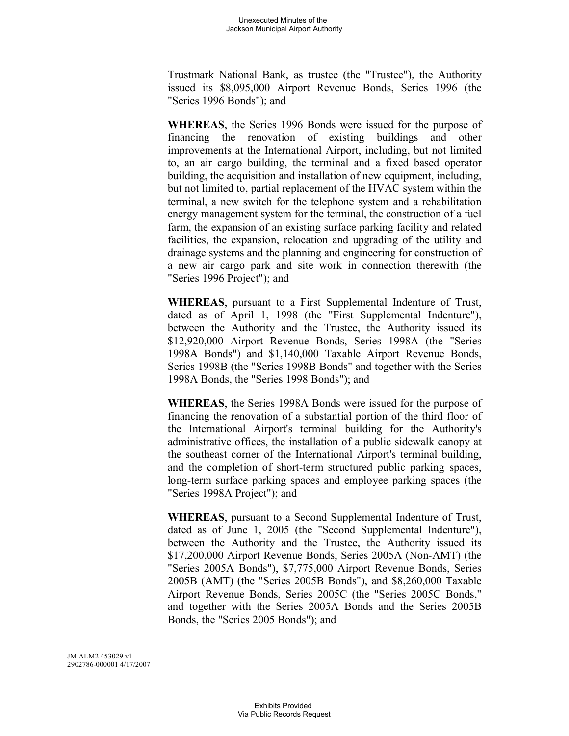Trustmark National Bank, as trustee (the "Trustee"), the Authority issued its \$8,095,000 Airport Revenue Bonds, Series 1996 (the "Series 1996 Bonds"); and

**WHEREAS**, the Series 1996 Bonds were issued for the purpose of financing the renovation of existing buildings and other improvements at the International Airport, including, but not limited to, an air cargo building, the terminal and a fixed based operator building, the acquisition and installation of new equipment, including, but not limited to, partial replacement of the HVAC system within the terminal, a new switch for the telephone system and a rehabilitation energy management system for the terminal, the construction of a fuel farm, the expansion of an existing surface parking facility and related facilities, the expansion, relocation and upgrading of the utility and drainage systems and the planning and engineering for construction of a new air cargo park and site work in connection therewith (the "Series 1996 Project"); and

**WHEREAS**, pursuant to a First Supplemental Indenture of Trust, dated as of April 1, 1998 (the "First Supplemental Indenture"), between the Authority and the Trustee, the Authority issued its \$12,920,000 Airport Revenue Bonds, Series 1998A (the "Series 1998A Bonds") and \$1,140,000 Taxable Airport Revenue Bonds, Series 1998B (the "Series 1998B Bonds" and together with the Series 1998A Bonds, the "Series 1998 Bonds"); and

**WHEREAS**, the Series 1998A Bonds were issued for the purpose of financing the renovation of a substantial portion of the third floor of the International Airport's terminal building for the Authority's administrative offices, the installation of a public sidewalk canopy at the southeast corner of the International Airport's terminal building, and the completion of short-term structured public parking spaces, long-term surface parking spaces and employee parking spaces (the "Series 1998A Project"); and

**WHEREAS**, pursuant to a Second Supplemental Indenture of Trust, dated as of June 1, 2005 (the "Second Supplemental Indenture"), between the Authority and the Trustee, the Authority issued its \$17,200,000 Airport Revenue Bonds, Series 2005A (Non-AMT) (the "Series 2005A Bonds"), \$7,775,000 Airport Revenue Bonds, Series 2005B (AMT) (the "Series 2005B Bonds"), and \$8,260,000 Taxable Airport Revenue Bonds, Series 2005C (the "Series 2005C Bonds," and together with the Series 2005A Bonds and the Series 2005B Bonds, the "Series 2005 Bonds"); and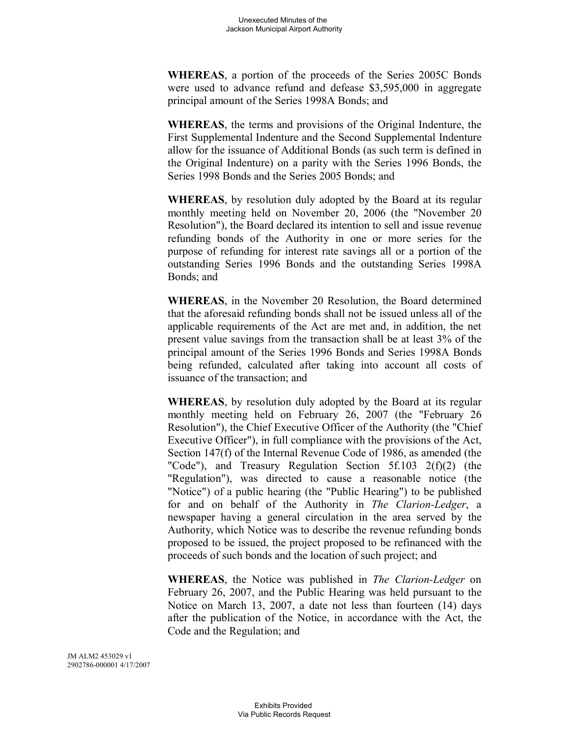**WHEREAS**, a portion of the proceeds of the Series 2005C Bonds were used to advance refund and defease \$3,595,000 in aggregate principal amount of the Series 1998A Bonds; and

**WHEREAS**, the terms and provisions of the Original Indenture, the First Supplemental Indenture and the Second Supplemental Indenture allow for the issuance of Additional Bonds (as such term is defined in the Original Indenture) on a parity with the Series 1996 Bonds, the Series 1998 Bonds and the Series 2005 Bonds; and

**WHEREAS**, by resolution duly adopted by the Board at its regular monthly meeting held on November 20, 2006 (the "November 20 Resolution"), the Board declared its intention to sell and issue revenue refunding bonds of the Authority in one or more series for the purpose of refunding for interest rate savings all or a portion of the outstanding Series 1996 Bonds and the outstanding Series 1998A Bonds; and

**WHEREAS**, in the November 20 Resolution, the Board determined that the aforesaid refunding bonds shall not be issued unless all of the applicable requirements of the Act are met and, in addition, the net present value savings from the transaction shall be at least 3% of the principal amount of the Series 1996 Bonds and Series 1998A Bonds being refunded, calculated after taking into account all costs of issuance of the transaction; and

**WHEREAS**, by resolution duly adopted by the Board at its regular monthly meeting held on February 26, 2007 (the "February 26 Resolution"), the Chief Executive Officer of the Authority (the "Chief Executive Officer"), in full compliance with the provisions of the Act, Section 147(f) of the Internal Revenue Code of 1986, as amended (the "Code"), and Treasury Regulation Section 5f.103 2(f)(2) (the "Regulation"), was directed to cause a reasonable notice (the "Notice") of a public hearing (the "Public Hearing") to be published for and on behalf of the Authority in *The Clarion-Ledger*, a newspaper having a general circulation in the area served by the Authority, which Notice was to describe the revenue refunding bonds proposed to be issued, the project proposed to be refinanced with the proceeds of such bonds and the location of such project; and

**WHEREAS**, the Notice was published in *The Clarion-Ledger* on February 26, 2007, and the Public Hearing was held pursuant to the Notice on March 13, 2007, a date not less than fourteen (14) days after the publication of the Notice, in accordance with the Act, the Code and the Regulation; and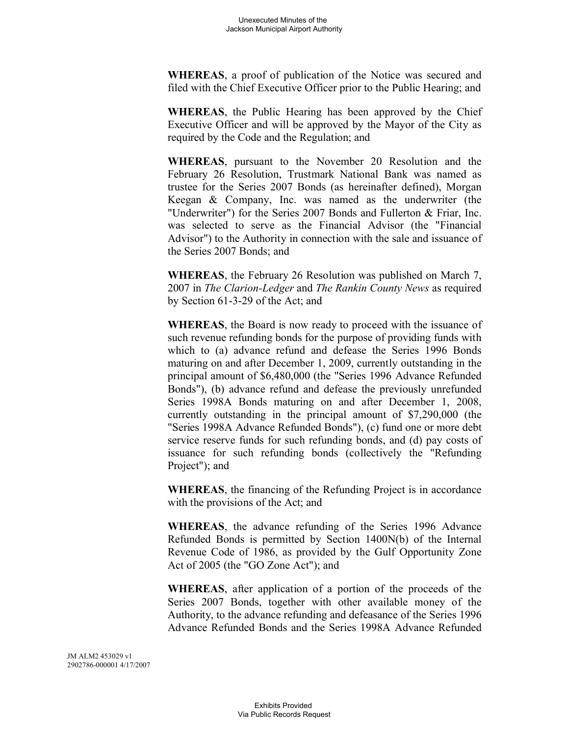**WHEREAS**, a proof of publication of the Notice was secured and filed with the Chief Executive Officer prior to the Public Hearing; and

**WHEREAS**, the Public Hearing has been approved by the Chief Executive Officer and will be approved by the Mayor of the City as required by the Code and the Regulation; and

**WHEREAS**, pursuant to the November 20 Resolution and the February 26 Resolution, Trustmark National Bank was named as trustee for the Series 2007 Bonds (as hereinafter defined), Morgan Keegan & Company, Inc. was named as the underwriter (the "Underwriter") for the Series 2007 Bonds and Fullerton & Friar, Inc. was selected to serve as the Financial Advisor (the "Financial Advisor") to the Authority in connection with the sale and issuance of the Series 2007 Bonds; and

**WHEREAS**, the February 26 Resolution was published on March 7, 2007 in *The Clarion-Ledger* and *The Rankin County News* as required by Section 61-3-29 of the Act; and

**WHEREAS**, the Board is now ready to proceed with the issuance of such revenue refunding bonds for the purpose of providing funds with which to (a) advance refund and defease the Series 1996 Bonds maturing on and after December 1, 2009, currently outstanding in the principal amount of \$6,480,000 (the "Series 1996 Advance Refunded Bonds"), (b) advance refund and defease the previously unrefunded Series 1998A Bonds maturing on and after December 1, 2008, currently outstanding in the principal amount of \$7,290,000 (the "Series 1998A Advance Refunded Bonds"), (c) fund one or more debt service reserve funds for such refunding bonds, and (d) pay costs of issuance for such refunding bonds (collectively the "Refunding Project"); and

**WHEREAS**, the financing of the Refunding Project is in accordance with the provisions of the Act; and

**WHEREAS**, the advance refunding of the Series 1996 Advance Refunded Bonds is permitted by Section 1400N(b) of the Internal Revenue Code of 1986, as provided by the Gulf Opportunity Zone Act of 2005 (the "GO Zone Act"); and

**WHEREAS**, after application of a portion of the proceeds of the Series 2007 Bonds, together with other available money of the Authority, to the advance refunding and defeasance of the Series 1996 Advance Refunded Bonds and the Series 1998A Advance Refunded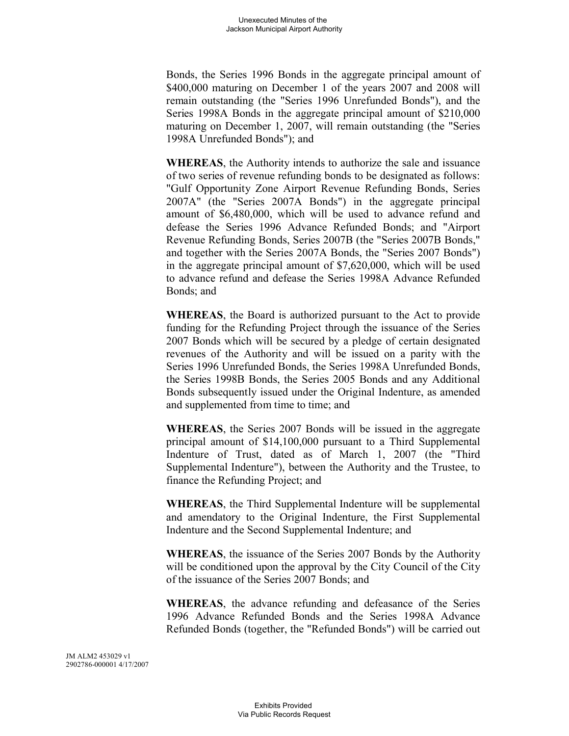Bonds, the Series 1996 Bonds in the aggregate principal amount of \$400,000 maturing on December 1 of the years 2007 and 2008 will remain outstanding (the "Series 1996 Unrefunded Bonds"), and the Series 1998A Bonds in the aggregate principal amount of \$210,000 maturing on December 1, 2007, will remain outstanding (the "Series 1998A Unrefunded Bonds"); and

**WHEREAS**, the Authority intends to authorize the sale and issuance of two series of revenue refunding bonds to be designated as follows: "Gulf Opportunity Zone Airport Revenue Refunding Bonds, Series 2007A" (the "Series 2007A Bonds") in the aggregate principal amount of \$6,480,000, which will be used to advance refund and defease the Series 1996 Advance Refunded Bonds; and "Airport Revenue Refunding Bonds, Series 2007B (the "Series 2007B Bonds," and together with the Series 2007A Bonds, the "Series 2007 Bonds") in the aggregate principal amount of \$7,620,000, which will be used to advance refund and defease the Series 1998A Advance Refunded Bonds; and

**WHEREAS**, the Board is authorized pursuant to the Act to provide funding for the Refunding Project through the issuance of the Series 2007 Bonds which will be secured by a pledge of certain designated revenues of the Authority and will be issued on a parity with the Series 1996 Unrefunded Bonds, the Series 1998A Unrefunded Bonds, the Series 1998B Bonds, the Series 2005 Bonds and any Additional Bonds subsequently issued under the Original Indenture, as amended and supplemented from time to time; and

**WHEREAS**, the Series 2007 Bonds will be issued in the aggregate principal amount of \$14,100,000 pursuant to a Third Supplemental Indenture of Trust, dated as of March 1, 2007 (the "Third Supplemental Indenture"), between the Authority and the Trustee, to finance the Refunding Project; and

**WHEREAS**, the Third Supplemental Indenture will be supplemental and amendatory to the Original Indenture, the First Supplemental Indenture and the Second Supplemental Indenture; and

**WHEREAS**, the issuance of the Series 2007 Bonds by the Authority will be conditioned upon the approval by the City Council of the City of the issuance of the Series 2007 Bonds; and

**WHEREAS**, the advance refunding and defeasance of the Series 1996 Advance Refunded Bonds and the Series 1998A Advance Refunded Bonds (together, the "Refunded Bonds") will be carried out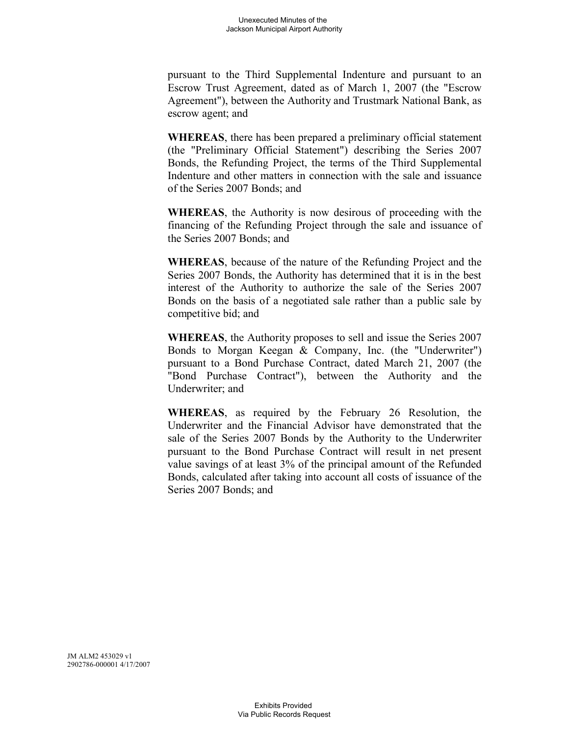pursuant to the Third Supplemental Indenture and pursuant to an Escrow Trust Agreement, dated as of March 1, 2007 (the "Escrow Agreement"), between the Authority and Trustmark National Bank, as escrow agent; and

**WHEREAS**, there has been prepared a preliminary official statement (the "Preliminary Official Statement") describing the Series 2007 Bonds, the Refunding Project, the terms of the Third Supplemental Indenture and other matters in connection with the sale and issuance of the Series 2007 Bonds; and

**WHEREAS**, the Authority is now desirous of proceeding with the financing of the Refunding Project through the sale and issuance of the Series 2007 Bonds; and

**WHEREAS**, because of the nature of the Refunding Project and the Series 2007 Bonds, the Authority has determined that it is in the best interest of the Authority to authorize the sale of the Series 2007 Bonds on the basis of a negotiated sale rather than a public sale by competitive bid; and

**WHEREAS**, the Authority proposes to sell and issue the Series 2007 Bonds to Morgan Keegan & Company, Inc. (the "Underwriter") pursuant to a Bond Purchase Contract, dated March 21, 2007 (the "Bond Purchase Contract"), between the Authority and the Underwriter; and

**WHEREAS**, as required by the February 26 Resolution, the Underwriter and the Financial Advisor have demonstrated that the sale of the Series 2007 Bonds by the Authority to the Underwriter pursuant to the Bond Purchase Contract will result in net present value savings of at least 3% of the principal amount of the Refunded Bonds, calculated after taking into account all costs of issuance of the Series 2007 Bonds; and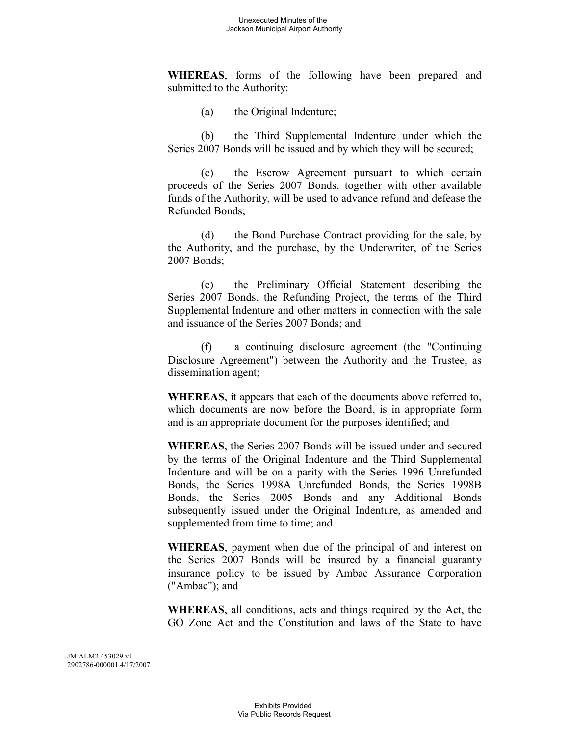**WHEREAS**, forms of the following have been prepared and submitted to the Authority:

(a) the Original Indenture;

(b) the Third Supplemental Indenture under which the Series 2007 Bonds will be issued and by which they will be secured;

(c) the Escrow Agreement pursuant to which certain proceeds of the Series 2007 Bonds, together with other available funds of the Authority, will be used to advance refund and defease the Refunded Bonds;

(d) the Bond Purchase Contract providing for the sale, by the Authority, and the purchase, by the Underwriter, of the Series 2007 Bonds;

(e) the Preliminary Official Statement describing the Series 2007 Bonds, the Refunding Project, the terms of the Third Supplemental Indenture and other matters in connection with the sale and issuance of the Series 2007 Bonds; and

(f) a continuing disclosure agreement (the "Continuing Disclosure Agreement") between the Authority and the Trustee, as dissemination agent;

**WHEREAS**, it appears that each of the documents above referred to, which documents are now before the Board, is in appropriate form and is an appropriate document for the purposes identified; and

**WHEREAS**, the Series 2007 Bonds will be issued under and secured by the terms of the Original Indenture and the Third Supplemental Indenture and will be on a parity with the Series 1996 Unrefunded Bonds, the Series 1998A Unrefunded Bonds, the Series 1998B Bonds, the Series 2005 Bonds and any Additional Bonds subsequently issued under the Original Indenture, as amended and supplemented from time to time; and

**WHEREAS**, payment when due of the principal of and interest on the Series 2007 Bonds will be insured by a financial guaranty insurance policy to be issued by Ambac Assurance Corporation ("Ambac"); and

**WHEREAS**, all conditions, acts and things required by the Act, the GO Zone Act and the Constitution and laws of the State to have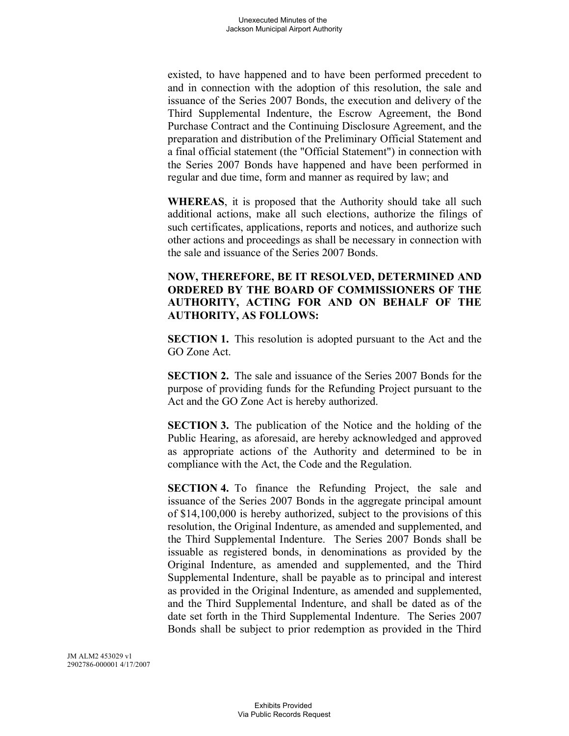existed, to have happened and to have been performed precedent to and in connection with the adoption of this resolution, the sale and issuance of the Series 2007 Bonds, the execution and delivery of the Third Supplemental Indenture, the Escrow Agreement, the Bond Purchase Contract and the Continuing Disclosure Agreement, and the preparation and distribution of the Preliminary Official Statement and a final official statement (the "Official Statement") in connection with the Series 2007 Bonds have happened and have been performed in regular and due time, form and manner as required by law; and

**WHEREAS**, it is proposed that the Authority should take all such additional actions, make all such elections, authorize the filings of such certificates, applications, reports and notices, and authorize such other actions and proceedings as shall be necessary in connection with the sale and issuance of the Series 2007 Bonds.

## **NOW, THEREFORE, BE IT RESOLVED, DETERMINED AND ORDERED BY THE BOARD OF COMMISSIONERS OF THE AUTHORITY, ACTING FOR AND ON BEHALF OF THE AUTHORITY, AS FOLLOWS:**

**SECTION 1.** This resolution is adopted pursuant to the Act and the GO Zone Act.

**SECTION 2.** The sale and issuance of the Series 2007 Bonds for the purpose of providing funds for the Refunding Project pursuant to the Act and the GO Zone Act is hereby authorized.

**SECTION 3.** The publication of the Notice and the holding of the Public Hearing, as aforesaid, are hereby acknowledged and approved as appropriate actions of the Authority and determined to be in compliance with the Act, the Code and the Regulation.

**SECTION 4.** To finance the Refunding Project, the sale and issuance of the Series 2007 Bonds in the aggregate principal amount of \$14,100,000 is hereby authorized, subject to the provisions of this resolution, the Original Indenture, as amended and supplemented, and the Third Supplemental Indenture. The Series 2007 Bonds shall be issuable as registered bonds, in denominations as provided by the Original Indenture, as amended and supplemented, and the Third Supplemental Indenture, shall be payable as to principal and interest as provided in the Original Indenture, as amended and supplemented, and the Third Supplemental Indenture, and shall be dated as of the date set forth in the Third Supplemental Indenture. The Series 2007 Bonds shall be subject to prior redemption as provided in the Third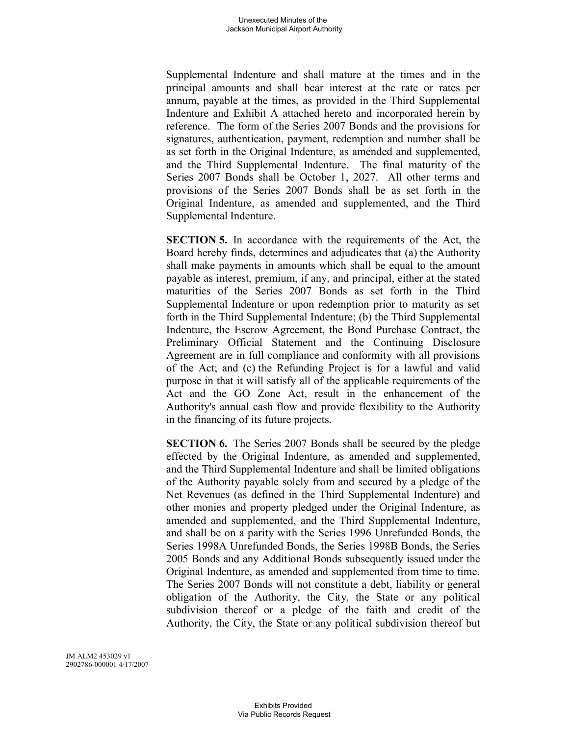Supplemental Indenture and shall mature at the times and in the principal amounts and shall bear interest at the rate or rates per annum, payable at the times, as provided in the Third Supplemental Indenture and Exhibit A attached hereto and incorporated herein by reference. The form of the Series 2007 Bonds and the provisions for signatures, authentication, payment, redemption and number shall be as set forth in the Original Indenture, as amended and supplemented, and the Third Supplemental Indenture. The final maturity of the Series 2007 Bonds shall be October 1, 2027. All other terms and provisions of the Series 2007 Bonds shall be as set forth in the Original Indenture, as amended and supplemented, and the Third Supplemental Indenture.

**SECTION 5.** In accordance with the requirements of the Act, the Board hereby finds, determines and adjudicates that (a) the Authority shall make payments in amounts which shall be equal to the amount payable as interest, premium, if any, and principal, either at the stated maturities of the Series 2007 Bonds as set forth in the Third Supplemental Indenture or upon redemption prior to maturity as set forth in the Third Supplemental Indenture; (b) the Third Supplemental Indenture, the Escrow Agreement, the Bond Purchase Contract, the Preliminary Official Statement and the Continuing Disclosure Agreement are in full compliance and conformity with all provisions of the Act; and (c) the Refunding Project is for a lawful and valid purpose in that it will satisfy all of the applicable requirements of the Act and the GO Zone Act, result in the enhancement of the Authority's annual cash flow and provide flexibility to the Authority in the financing of its future projects.

**SECTION 6.** The Series 2007 Bonds shall be secured by the pledge effected by the Original Indenture, as amended and supplemented, and the Third Supplemental Indenture and shall be limited obligations of the Authority payable solely from and secured by a pledge of the Net Revenues (as defined in the Third Supplemental Indenture) and other monies and property pledged under the Original Indenture, as amended and supplemented, and the Third Supplemental Indenture, and shall be on a parity with the Series 1996 Unrefunded Bonds, the Series 1998A Unrefunded Bonds, the Series 1998B Bonds, the Series 2005 Bonds and any Additional Bonds subsequently issued under the Original Indenture, as amended and supplemented from time to time. The Series 2007 Bonds will not constitute a debt, liability or general obligation of the Authority, the City, the State or any political subdivision thereof or a pledge of the faith and credit of the Authority, the City, the State or any political subdivision thereof but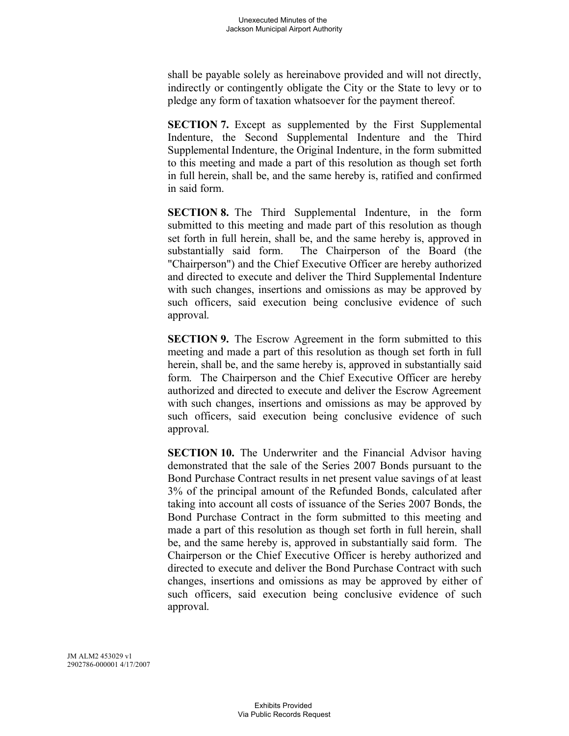shall be payable solely as hereinabove provided and will not directly, indirectly or contingently obligate the City or the State to levy or to pledge any form of taxation whatsoever for the payment thereof.

**SECTION 7.** Except as supplemented by the First Supplemental Indenture, the Second Supplemental Indenture and the Third Supplemental Indenture, the Original Indenture, in the form submitted to this meeting and made a part of this resolution as though set forth in full herein, shall be, and the same hereby is, ratified and confirmed in said form.

**SECTION 8.** The Third Supplemental Indenture, in the form submitted to this meeting and made part of this resolution as though set forth in full herein, shall be, and the same hereby is, approved in substantially said form. The Chairperson of the Board (the "Chairperson") and the Chief Executive Officer are hereby authorized and directed to execute and deliver the Third Supplemental Indenture with such changes, insertions and omissions as may be approved by such officers, said execution being conclusive evidence of such approval.

**SECTION 9.** The Escrow Agreement in the form submitted to this meeting and made a part of this resolution as though set forth in full herein, shall be, and the same hereby is, approved in substantially said form. The Chairperson and the Chief Executive Officer are hereby authorized and directed to execute and deliver the Escrow Agreement with such changes, insertions and omissions as may be approved by such officers, said execution being conclusive evidence of such approval.

**SECTION 10.** The Underwriter and the Financial Advisor having demonstrated that the sale of the Series 2007 Bonds pursuant to the Bond Purchase Contract results in net present value savings of at least 3% of the principal amount of the Refunded Bonds, calculated after taking into account all costs of issuance of the Series 2007 Bonds, the Bond Purchase Contract in the form submitted to this meeting and made a part of this resolution as though set forth in full herein, shall be, and the same hereby is, approved in substantially said form. The Chairperson or the Chief Executive Officer is hereby authorized and directed to execute and deliver the Bond Purchase Contract with such changes, insertions and omissions as may be approved by either of such officers, said execution being conclusive evidence of such approval.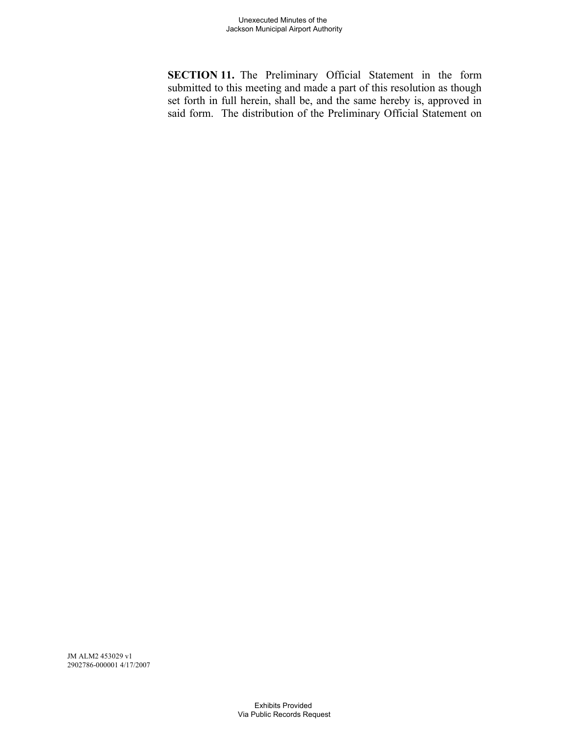**SECTION 11.** The Preliminary Official Statement in the form submitted to this meeting and made a part of this resolution as though set forth in full herein, shall be, and the same hereby is, approved in said form. The distribution of the Preliminary Official Statement on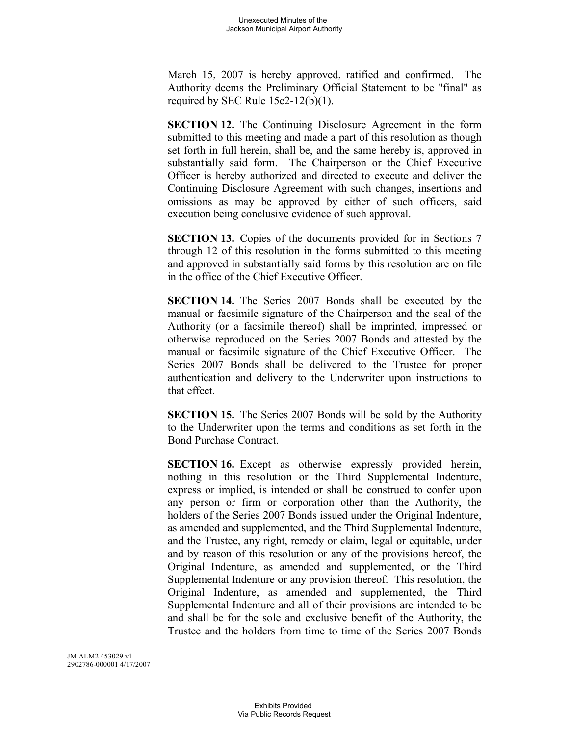March 15, 2007 is hereby approved, ratified and confirmed. The Authority deems the Preliminary Official Statement to be "final" as required by SEC Rule 15c2-12(b)(1).

**SECTION 12.** The Continuing Disclosure Agreement in the form submitted to this meeting and made a part of this resolution as though set forth in full herein, shall be, and the same hereby is, approved in substantially said form. The Chairperson or the Chief Executive Officer is hereby authorized and directed to execute and deliver the Continuing Disclosure Agreement with such changes, insertions and omissions as may be approved by either of such officers, said execution being conclusive evidence of such approval.

**SECTION 13.** Copies of the documents provided for in Sections 7 through 12 of this resolution in the forms submitted to this meeting and approved in substantially said forms by this resolution are on file in the office of the Chief Executive Officer.

**SECTION 14.** The Series 2007 Bonds shall be executed by the manual or facsimile signature of the Chairperson and the seal of the Authority (or a facsimile thereof) shall be imprinted, impressed or otherwise reproduced on the Series 2007 Bonds and attested by the manual or facsimile signature of the Chief Executive Officer. The Series 2007 Bonds shall be delivered to the Trustee for proper authentication and delivery to the Underwriter upon instructions to that effect.

**SECTION 15.** The Series 2007 Bonds will be sold by the Authority to the Underwriter upon the terms and conditions as set forth in the Bond Purchase Contract.

**SECTION 16.** Except as otherwise expressly provided herein, nothing in this resolution or the Third Supplemental Indenture, express or implied, is intended or shall be construed to confer upon any person or firm or corporation other than the Authority, the holders of the Series 2007 Bonds issued under the Original Indenture, as amended and supplemented, and the Third Supplemental Indenture, and the Trustee, any right, remedy or claim, legal or equitable, under and by reason of this resolution or any of the provisions hereof, the Original Indenture, as amended and supplemented, or the Third Supplemental Indenture or any provision thereof. This resolution, the Original Indenture, as amended and supplemented, the Third Supplemental Indenture and all of their provisions are intended to be and shall be for the sole and exclusive benefit of the Authority, the Trustee and the holders from time to time of the Series 2007 Bonds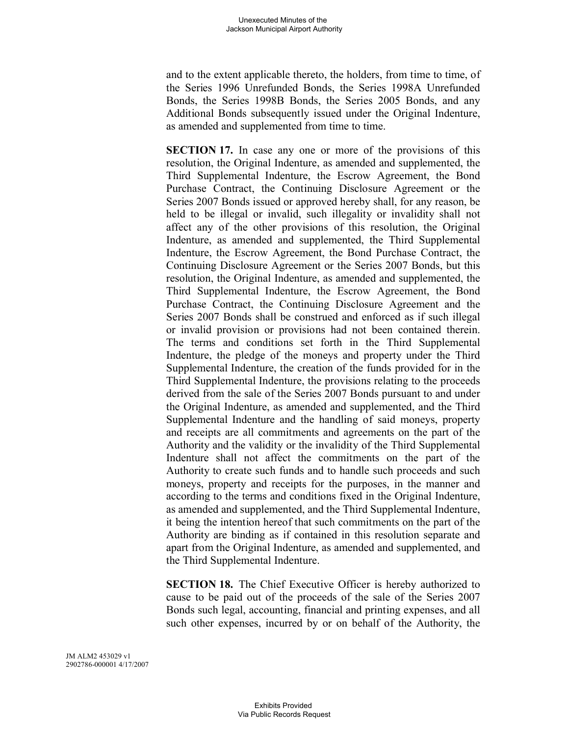and to the extent applicable thereto, the holders, from time to time, of the Series 1996 Unrefunded Bonds, the Series 1998A Unrefunded Bonds, the Series 1998B Bonds, the Series 2005 Bonds, and any Additional Bonds subsequently issued under the Original Indenture, as amended and supplemented from time to time.

**SECTION 17.** In case any one or more of the provisions of this resolution, the Original Indenture, as amended and supplemented, the Third Supplemental Indenture, the Escrow Agreement, the Bond Purchase Contract, the Continuing Disclosure Agreement or the Series 2007 Bonds issued or approved hereby shall, for any reason, be held to be illegal or invalid, such illegality or invalidity shall not affect any of the other provisions of this resolution, the Original Indenture, as amended and supplemented, the Third Supplemental Indenture, the Escrow Agreement, the Bond Purchase Contract, the Continuing Disclosure Agreement or the Series 2007 Bonds, but this resolution, the Original Indenture, as amended and supplemented, the Third Supplemental Indenture, the Escrow Agreement, the Bond Purchase Contract, the Continuing Disclosure Agreement and the Series 2007 Bonds shall be construed and enforced as if such illegal or invalid provision or provisions had not been contained therein. The terms and conditions set forth in the Third Supplemental Indenture, the pledge of the moneys and property under the Third Supplemental Indenture, the creation of the funds provided for in the Third Supplemental Indenture, the provisions relating to the proceeds derived from the sale of the Series 2007 Bonds pursuant to and under the Original Indenture, as amended and supplemented, and the Third Supplemental Indenture and the handling of said moneys, property and receipts are all commitments and agreements on the part of the Authority and the validity or the invalidity of the Third Supplemental Indenture shall not affect the commitments on the part of the Authority to create such funds and to handle such proceeds and such moneys, property and receipts for the purposes, in the manner and according to the terms and conditions fixed in the Original Indenture, as amended and supplemented, and the Third Supplemental Indenture, it being the intention hereof that such commitments on the part of the Authority are binding as if contained in this resolution separate and apart from the Original Indenture, as amended and supplemented, and the Third Supplemental Indenture.

**SECTION 18.** The Chief Executive Officer is hereby authorized to cause to be paid out of the proceeds of the sale of the Series 2007 Bonds such legal, accounting, financial and printing expenses, and all such other expenses, incurred by or on behalf of the Authority, the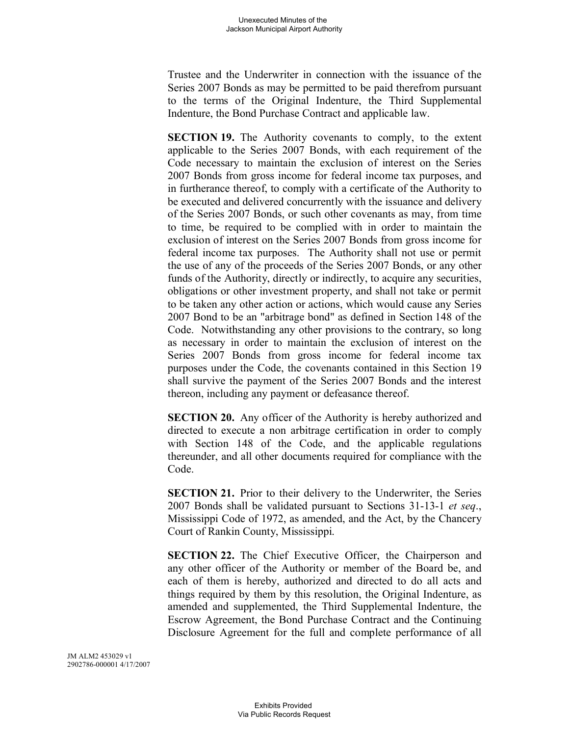Trustee and the Underwriter in connection with the issuance of the Series 2007 Bonds as may be permitted to be paid therefrom pursuant to the terms of the Original Indenture, the Third Supplemental Indenture, the Bond Purchase Contract and applicable law.

**SECTION 19.** The Authority covenants to comply, to the extent applicable to the Series 2007 Bonds, with each requirement of the Code necessary to maintain the exclusion of interest on the Series 2007 Bonds from gross income for federal income tax purposes, and in furtherance thereof, to comply with a certificate of the Authority to be executed and delivered concurrently with the issuance and delivery of the Series 2007 Bonds, or such other covenants as may, from time to time, be required to be complied with in order to maintain the exclusion of interest on the Series 2007 Bonds from gross income for federal income tax purposes. The Authority shall not use or permit the use of any of the proceeds of the Series 2007 Bonds, or any other funds of the Authority, directly or indirectly, to acquire any securities, obligations or other investment property, and shall not take or permit to be taken any other action or actions, which would cause any Series 2007 Bond to be an "arbitrage bond" as defined in Section 148 of the Code. Notwithstanding any other provisions to the contrary, so long as necessary in order to maintain the exclusion of interest on the Series 2007 Bonds from gross income for federal income tax purposes under the Code, the covenants contained in this Section 19 shall survive the payment of the Series 2007 Bonds and the interest thereon, including any payment or defeasance thereof.

**SECTION 20.** Any officer of the Authority is hereby authorized and directed to execute a non arbitrage certification in order to comply with Section 148 of the Code, and the applicable regulations thereunder, and all other documents required for compliance with the Code.

**SECTION 21.** Prior to their delivery to the Underwriter, the Series 2007 Bonds shall be validated pursuant to Sections 31-13-1 *et seq*., Mississippi Code of 1972, as amended, and the Act, by the Chancery Court of Rankin County, Mississippi.

**SECTION 22.** The Chief Executive Officer, the Chairperson and any other officer of the Authority or member of the Board be, and each of them is hereby, authorized and directed to do all acts and things required by them by this resolution, the Original Indenture, as amended and supplemented, the Third Supplemental Indenture, the Escrow Agreement, the Bond Purchase Contract and the Continuing Disclosure Agreement for the full and complete performance of all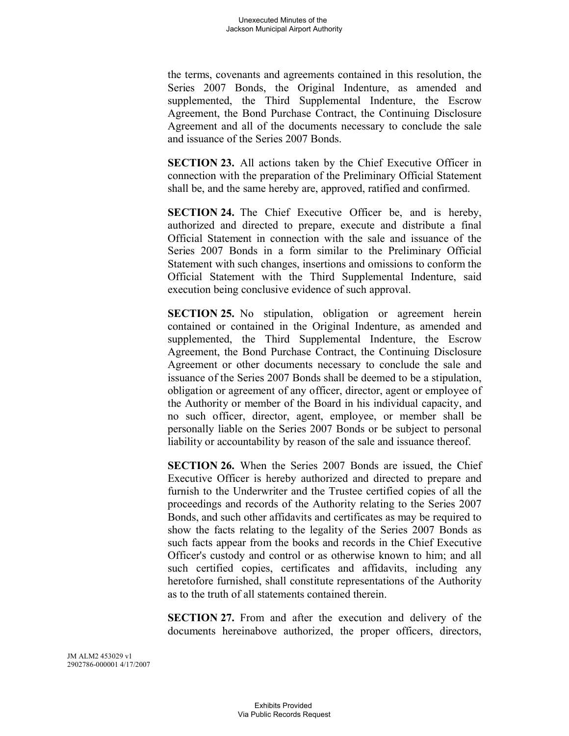the terms, covenants and agreements contained in this resolution, the Series 2007 Bonds, the Original Indenture, as amended and supplemented, the Third Supplemental Indenture, the Escrow Agreement, the Bond Purchase Contract, the Continuing Disclosure Agreement and all of the documents necessary to conclude the sale and issuance of the Series 2007 Bonds.

**SECTION 23.** All actions taken by the Chief Executive Officer in connection with the preparation of the Preliminary Official Statement shall be, and the same hereby are, approved, ratified and confirmed.

**SECTION 24.** The Chief Executive Officer be, and is hereby, authorized and directed to prepare, execute and distribute a final Official Statement in connection with the sale and issuance of the Series 2007 Bonds in a form similar to the Preliminary Official Statement with such changes, insertions and omissions to conform the Official Statement with the Third Supplemental Indenture, said execution being conclusive evidence of such approval.

**SECTION 25.** No stipulation, obligation or agreement herein contained or contained in the Original Indenture, as amended and supplemented, the Third Supplemental Indenture, the Escrow Agreement, the Bond Purchase Contract, the Continuing Disclosure Agreement or other documents necessary to conclude the sale and issuance of the Series 2007 Bonds shall be deemed to be a stipulation, obligation or agreement of any officer, director, agent or employee of the Authority or member of the Board in his individual capacity, and no such officer, director, agent, employee, or member shall be personally liable on the Series 2007 Bonds or be subject to personal liability or accountability by reason of the sale and issuance thereof.

**SECTION 26.** When the Series 2007 Bonds are issued, the Chief Executive Officer is hereby authorized and directed to prepare and furnish to the Underwriter and the Trustee certified copies of all the proceedings and records of the Authority relating to the Series 2007 Bonds, and such other affidavits and certificates as may be required to show the facts relating to the legality of the Series 2007 Bonds as such facts appear from the books and records in the Chief Executive Officer's custody and control or as otherwise known to him; and all such certified copies, certificates and affidavits, including any heretofore furnished, shall constitute representations of the Authority as to the truth of all statements contained therein.

**SECTION 27.** From and after the execution and delivery of the documents hereinabove authorized, the proper officers, directors,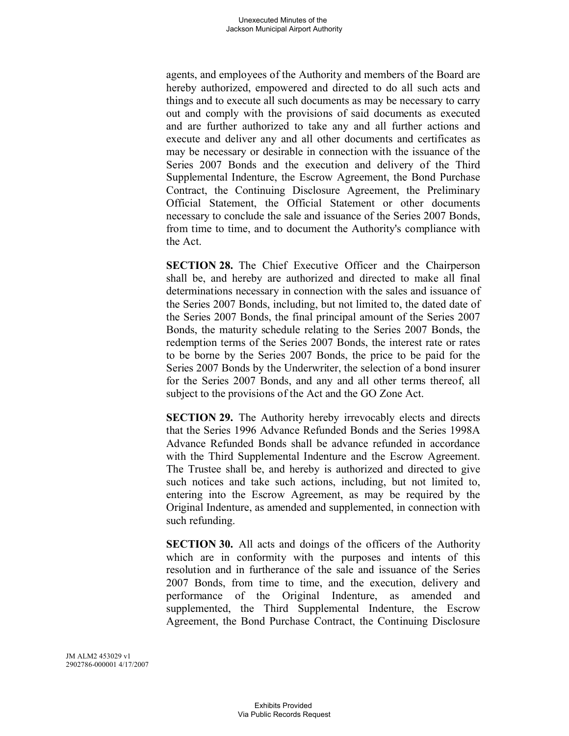agents, and employees of the Authority and members of the Board are hereby authorized, empowered and directed to do all such acts and things and to execute all such documents as may be necessary to carry out and comply with the provisions of said documents as executed and are further authorized to take any and all further actions and execute and deliver any and all other documents and certificates as may be necessary or desirable in connection with the issuance of the Series 2007 Bonds and the execution and delivery of the Third Supplemental Indenture, the Escrow Agreement, the Bond Purchase Contract, the Continuing Disclosure Agreement, the Preliminary Official Statement, the Official Statement or other documents necessary to conclude the sale and issuance of the Series 2007 Bonds, from time to time, and to document the Authority's compliance with the Act.

**SECTION 28.** The Chief Executive Officer and the Chairperson shall be, and hereby are authorized and directed to make all final determinations necessary in connection with the sales and issuance of the Series 2007 Bonds, including, but not limited to, the dated date of the Series 2007 Bonds, the final principal amount of the Series 2007 Bonds, the maturity schedule relating to the Series 2007 Bonds, the redemption terms of the Series 2007 Bonds, the interest rate or rates to be borne by the Series 2007 Bonds, the price to be paid for the Series 2007 Bonds by the Underwriter, the selection of a bond insurer for the Series 2007 Bonds, and any and all other terms thereof, all subject to the provisions of the Act and the GO Zone Act.

**SECTION 29.** The Authority hereby irrevocably elects and directs that the Series 1996 Advance Refunded Bonds and the Series 1998A Advance Refunded Bonds shall be advance refunded in accordance with the Third Supplemental Indenture and the Escrow Agreement. The Trustee shall be, and hereby is authorized and directed to give such notices and take such actions, including, but not limited to, entering into the Escrow Agreement, as may be required by the Original Indenture, as amended and supplemented, in connection with such refunding.

**SECTION 30.** All acts and doings of the officers of the Authority which are in conformity with the purposes and intents of this resolution and in furtherance of the sale and issuance of the Series 2007 Bonds, from time to time, and the execution, delivery and performance of the Original Indenture, as amended and supplemented, the Third Supplemental Indenture, the Escrow Agreement, the Bond Purchase Contract, the Continuing Disclosure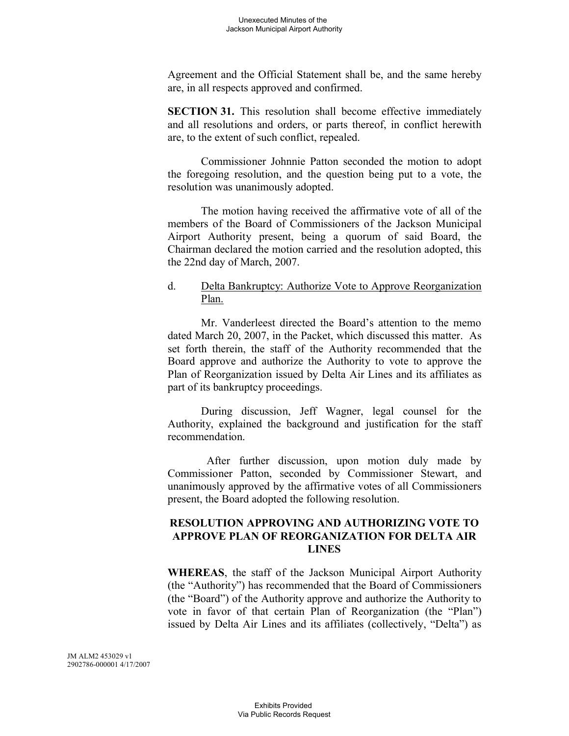Agreement and the Official Statement shall be, and the same hereby are, in all respects approved and confirmed.

**SECTION 31.** This resolution shall become effective immediately and all resolutions and orders, or parts thereof, in conflict herewith are, to the extent of such conflict, repealed.

Commissioner Johnnie Patton seconded the motion to adopt the foregoing resolution, and the question being put to a vote, the resolution was unanimously adopted.

The motion having received the affirmative vote of all of the members of the Board of Commissioners of the Jackson Municipal Airport Authority present, being a quorum of said Board, the Chairman declared the motion carried and the resolution adopted, this the 22nd day of March, 2007.

### d. Delta Bankruptcy: Authorize Vote to Approve Reorganization Plan.

Mr. Vanderleest directed the Board's attention to the memo dated March 20, 2007, in the Packet, which discussed this matter. As set forth therein, the staff of the Authority recommended that the Board approve and authorize the Authority to vote to approve the Plan of Reorganization issued by Delta Air Lines and its affiliates as part of its bankruptcy proceedings.

During discussion, Jeff Wagner, legal counsel for the Authority, explained the background and justification for the staff recommendation.

After further discussion, upon motion duly made by Commissioner Patton, seconded by Commissioner Stewart, and unanimously approved by the affirmative votes of all Commissioners present, the Board adopted the following resolution.

### **RESOLUTION APPROVING AND AUTHORIZING VOTE TO APPROVE PLAN OF REORGANIZATION FOR DELTA AIR LINES**

**WHEREAS**, the staff of the Jackson Municipal Airport Authority (the "Authority") has recommended that the Board of Commissioners (the "Board") of the Authority approve and authorize the Authority to vote in favor of that certain Plan of Reorganization (the "Plan") issued by Delta Air Lines and its affiliates (collectively, "Delta") as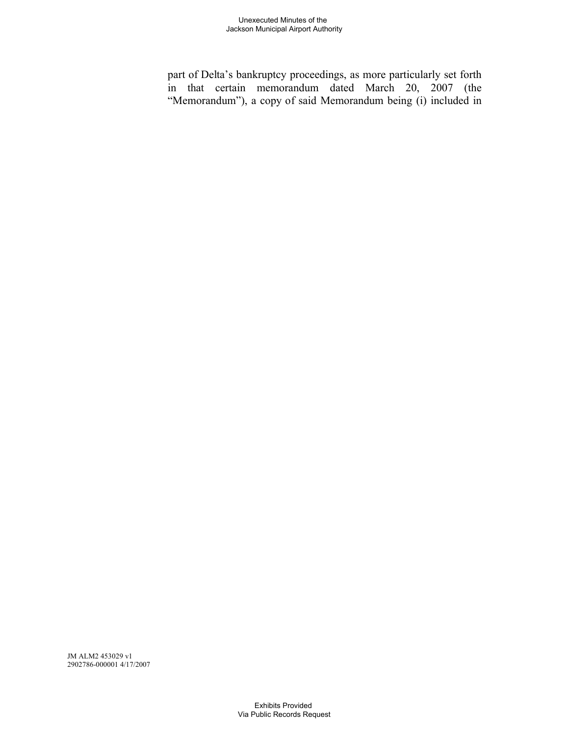part of Delta's bankruptcy proceedings, as more particularly set forth in that certain memorandum dated March 20, 2007 (the "Memorandum"), a copy of said Memorandum being (i) included in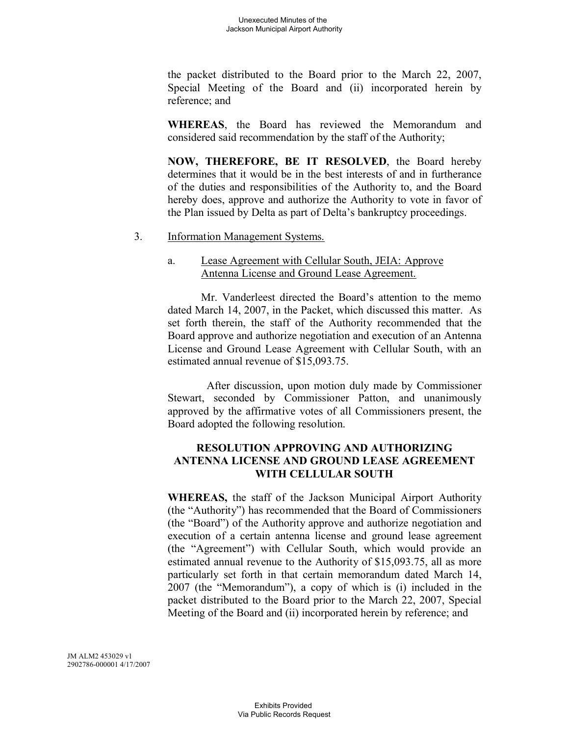the packet distributed to the Board prior to the March 22, 2007, Special Meeting of the Board and (ii) incorporated herein by reference; and

**WHEREAS**, the Board has reviewed the Memorandum and considered said recommendation by the staff of the Authority;

**NOW, THEREFORE, BE IT RESOLVED**, the Board hereby determines that it would be in the best interests of and in furtherance of the duties and responsibilities of the Authority to, and the Board hereby does, approve and authorize the Authority to vote in favor of the Plan issued by Delta as part of Delta's bankruptcy proceedings.

3. Information Management Systems.

### a. Lease Agreement with Cellular South, JEIA: Approve Antenna License and Ground Lease Agreement.

Mr. Vanderleest directed the Board's attention to the memo dated March 14, 2007, in the Packet, which discussed this matter. As set forth therein, the staff of the Authority recommended that the Board approve and authorize negotiation and execution of an Antenna License and Ground Lease Agreement with Cellular South, with an estimated annual revenue of \$15,093.75.

After discussion, upon motion duly made by Commissioner Stewart, seconded by Commissioner Patton, and unanimously approved by the affirmative votes of all Commissioners present, the Board adopted the following resolution.

# **RESOLUTION APPROVING AND AUTHORIZING ANTENNA LICENSE AND GROUND LEASE AGREEMENT WITH CELLULAR SOUTH**

**WHEREAS,** the staff of the Jackson Municipal Airport Authority (the "Authority") has recommended that the Board of Commissioners (the "Board") of the Authority approve and authorize negotiation and execution of a certain antenna license and ground lease agreement (the "Agreement") with Cellular South, which would provide an estimated annual revenue to the Authority of \$15,093.75, all as more particularly set forth in that certain memorandum dated March 14, 2007 (the "Memorandum"), a copy of which is (i) included in the packet distributed to the Board prior to the March 22, 2007, Special Meeting of the Board and (ii) incorporated herein by reference; and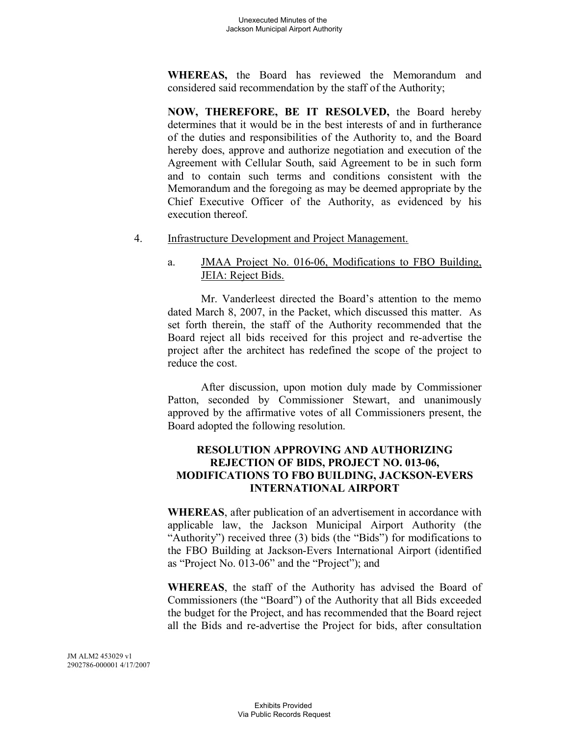**WHEREAS,** the Board has reviewed the Memorandum and considered said recommendation by the staff of the Authority;

**NOW, THEREFORE, BE IT RESOLVED,** the Board hereby determines that it would be in the best interests of and in furtherance of the duties and responsibilities of the Authority to, and the Board hereby does, approve and authorize negotiation and execution of the Agreement with Cellular South, said Agreement to be in such form and to contain such terms and conditions consistent with the Memorandum and the foregoing as may be deemed appropriate by the Chief Executive Officer of the Authority, as evidenced by his execution thereof.

4. Infrastructure Development and Project Management.

# a. JMAA Project No. 016-06, Modifications to FBO Building, JEIA: Reject Bids.

Mr. Vanderleest directed the Board's attention to the memo dated March 8, 2007, in the Packet, which discussed this matter. As set forth therein, the staff of the Authority recommended that the Board reject all bids received for this project and re-advertise the project after the architect has redefined the scope of the project to reduce the cost.

After discussion, upon motion duly made by Commissioner Patton, seconded by Commissioner Stewart, and unanimously approved by the affirmative votes of all Commissioners present, the Board adopted the following resolution.

# **RESOLUTION APPROVING AND AUTHORIZING REJECTION OF BIDS, PROJECT NO. 013-06, MODIFICATIONS TO FBO BUILDING, JACKSON-EVERS INTERNATIONAL AIRPORT**

**WHEREAS**, after publication of an advertisement in accordance with applicable law, the Jackson Municipal Airport Authority (the "Authority") received three (3) bids (the "Bids") for modifications to the FBO Building at Jackson-Evers International Airport (identified as "Project No. 013-06" and the "Project"); and

**WHEREAS**, the staff of the Authority has advised the Board of Commissioners (the "Board") of the Authority that all Bids exceeded the budget for the Project, and has recommended that the Board reject all the Bids and re-advertise the Project for bids, after consultation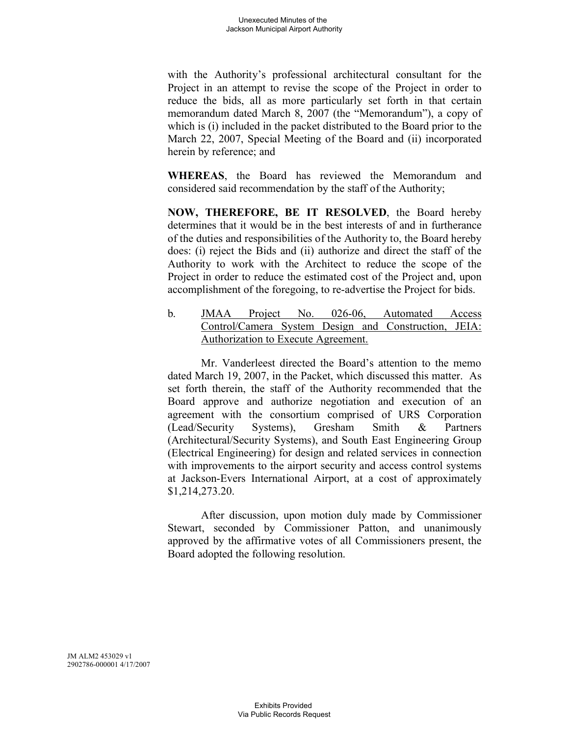with the Authority's professional architectural consultant for the Project in an attempt to revise the scope of the Project in order to reduce the bids, all as more particularly set forth in that certain memorandum dated March 8, 2007 (the "Memorandum"), a copy of which is (i) included in the packet distributed to the Board prior to the March 22, 2007, Special Meeting of the Board and (ii) incorporated herein by reference; and

**WHEREAS**, the Board has reviewed the Memorandum and considered said recommendation by the staff of the Authority;

**NOW, THEREFORE, BE IT RESOLVED**, the Board hereby determines that it would be in the best interests of and in furtherance of the duties and responsibilities of the Authority to, the Board hereby does: (i) reject the Bids and (ii) authorize and direct the staff of the Authority to work with the Architect to reduce the scope of the Project in order to reduce the estimated cost of the Project and, upon accomplishment of the foregoing, to re-advertise the Project for bids.

b. JMAA Project No. 026-06, Automated Access Control/Camera System Design and Construction, JEIA: Authorization to Execute Agreement.

Mr. Vanderleest directed the Board's attention to the memo dated March 19, 2007, in the Packet, which discussed this matter. As set forth therein, the staff of the Authority recommended that the Board approve and authorize negotiation and execution of an agreement with the consortium comprised of URS Corporation (Lead/Security Systems), Gresham Smith & Partners (Architectural/Security Systems), and South East Engineering Group (Electrical Engineering) for design and related services in connection with improvements to the airport security and access control systems at Jackson-Evers International Airport, at a cost of approximately \$1,214,273.20.

After discussion, upon motion duly made by Commissioner Stewart, seconded by Commissioner Patton, and unanimously approved by the affirmative votes of all Commissioners present, the Board adopted the following resolution.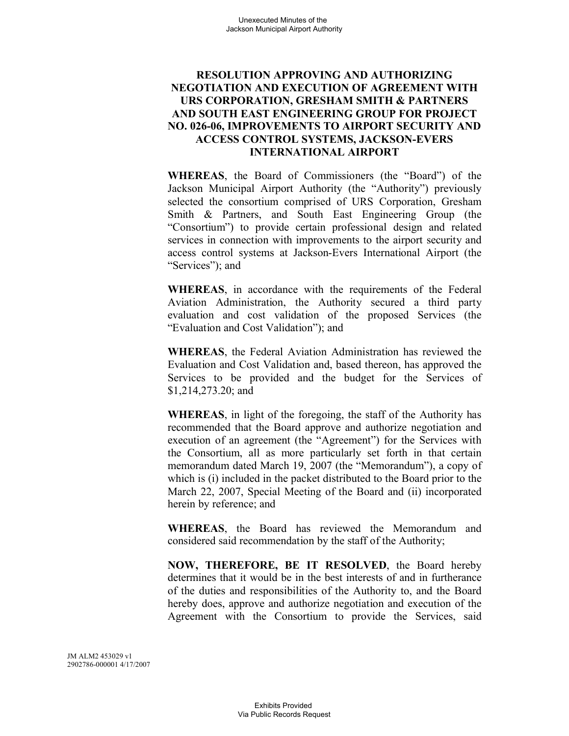### **RESOLUTION APPROVING AND AUTHORIZING NEGOTIATION AND EXECUTION OF AGREEMENT WITH URS CORPORATION, GRESHAM SMITH & PARTNERS AND SOUTH EAST ENGINEERING GROUP FOR PROJECT NO. 026-06, IMPROVEMENTS TO AIRPORT SECURITY AND ACCESS CONTROL SYSTEMS, JACKSON-EVERS INTERNATIONAL AIRPORT**

**WHEREAS**, the Board of Commissioners (the "Board") of the Jackson Municipal Airport Authority (the "Authority") previously selected the consortium comprised of URS Corporation, Gresham Smith & Partners, and South East Engineering Group (the "Consortium") to provide certain professional design and related services in connection with improvements to the airport security and access control systems at Jackson-Evers International Airport (the "Services"); and

**WHEREAS**, in accordance with the requirements of the Federal Aviation Administration, the Authority secured a third party evaluation and cost validation of the proposed Services (the "Evaluation and Cost Validation"); and

**WHEREAS**, the Federal Aviation Administration has reviewed the Evaluation and Cost Validation and, based thereon, has approved the Services to be provided and the budget for the Services of \$1,214,273.20; and

**WHEREAS**, in light of the foregoing, the staff of the Authority has recommended that the Board approve and authorize negotiation and execution of an agreement (the "Agreement") for the Services with the Consortium, all as more particularly set forth in that certain memorandum dated March 19, 2007 (the "Memorandum"), a copy of which is (i) included in the packet distributed to the Board prior to the March 22, 2007, Special Meeting of the Board and (ii) incorporated herein by reference; and

**WHEREAS**, the Board has reviewed the Memorandum and considered said recommendation by the staff of the Authority;

**NOW, THEREFORE, BE IT RESOLVED**, the Board hereby determines that it would be in the best interests of and in furtherance of the duties and responsibilities of the Authority to, and the Board hereby does, approve and authorize negotiation and execution of the Agreement with the Consortium to provide the Services, said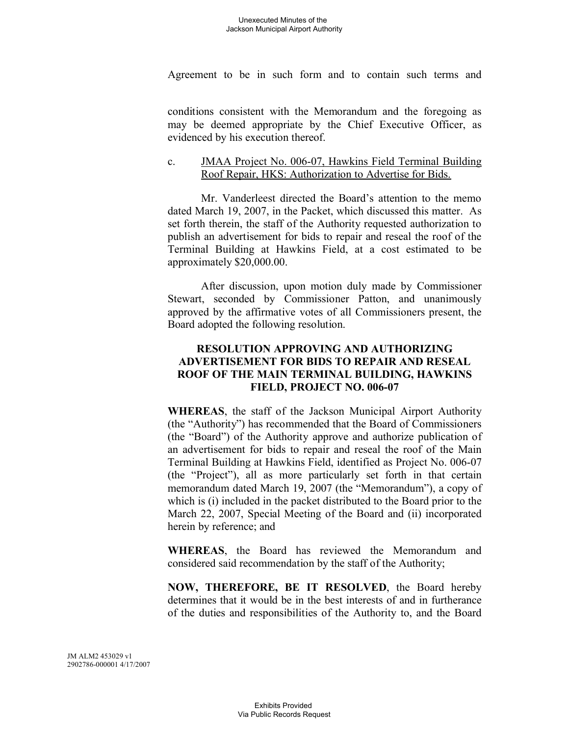Agreement to be in such form and to contain such terms and

conditions consistent with the Memorandum and the foregoing as may be deemed appropriate by the Chief Executive Officer, as evidenced by his execution thereof.

### c. JMAA Project No. 006-07, Hawkins Field Terminal Building Roof Repair, HKS: Authorization to Advertise for Bids.

Mr. Vanderleest directed the Board's attention to the memo dated March 19, 2007, in the Packet, which discussed this matter. As set forth therein, the staff of the Authority requested authorization to publish an advertisement for bids to repair and reseal the roof of the Terminal Building at Hawkins Field, at a cost estimated to be approximately \$20,000.00.

After discussion, upon motion duly made by Commissioner Stewart, seconded by Commissioner Patton, and unanimously approved by the affirmative votes of all Commissioners present, the Board adopted the following resolution.

# **RESOLUTION APPROVING AND AUTHORIZING ADVERTISEMENT FOR BIDS TO REPAIR AND RESEAL ROOF OF THE MAIN TERMINAL BUILDING, HAWKINS FIELD, PROJECT NO. 006-07**

**WHEREAS**, the staff of the Jackson Municipal Airport Authority (the "Authority") has recommended that the Board of Commissioners (the "Board") of the Authority approve and authorize publication of an advertisement for bids to repair and reseal the roof of the Main Terminal Building at Hawkins Field, identified as Project No. 006-07 (the "Project"), all as more particularly set forth in that certain memorandum dated March 19, 2007 (the "Memorandum"), a copy of which is (i) included in the packet distributed to the Board prior to the March 22, 2007, Special Meeting of the Board and (ii) incorporated herein by reference; and

**WHEREAS**, the Board has reviewed the Memorandum and considered said recommendation by the staff of the Authority;

**NOW, THEREFORE, BE IT RESOLVED**, the Board hereby determines that it would be in the best interests of and in furtherance of the duties and responsibilities of the Authority to, and the Board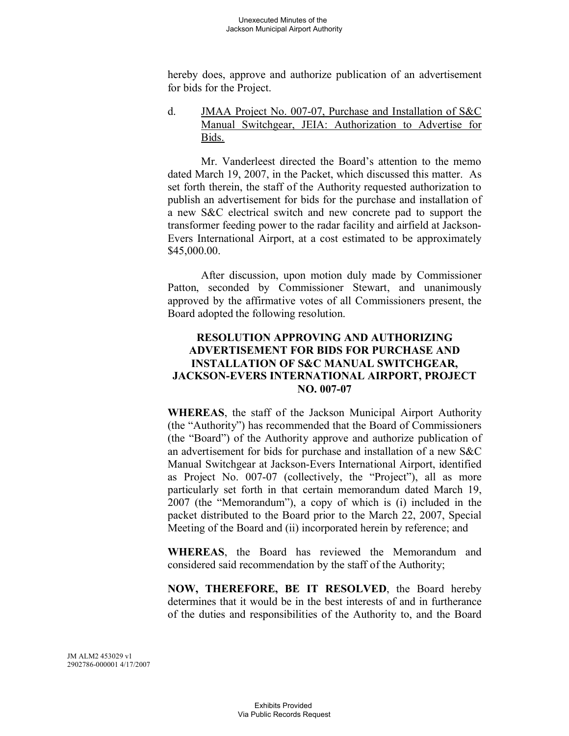hereby does, approve and authorize publication of an advertisement for bids for the Project.

d. JMAA Project No. 007-07, Purchase and Installation of S&C Manual Switchgear, JEIA: Authorization to Advertise for Bids.

Mr. Vanderleest directed the Board's attention to the memo dated March 19, 2007, in the Packet, which discussed this matter. As set forth therein, the staff of the Authority requested authorization to publish an advertisement for bids for the purchase and installation of a new S&C electrical switch and new concrete pad to support the transformer feeding power to the radar facility and airfield at Jackson-Evers International Airport, at a cost estimated to be approximately \$45,000.00.

After discussion, upon motion duly made by Commissioner Patton, seconded by Commissioner Stewart, and unanimously approved by the affirmative votes of all Commissioners present, the Board adopted the following resolution.

# **RESOLUTION APPROVING AND AUTHORIZING ADVERTISEMENT FOR BIDS FOR PURCHASE AND INSTALLATION OF S&C MANUAL SWITCHGEAR, JACKSON-EVERS INTERNATIONAL AIRPORT, PROJECT NO. 007-07**

**WHEREAS**, the staff of the Jackson Municipal Airport Authority (the "Authority") has recommended that the Board of Commissioners (the "Board") of the Authority approve and authorize publication of an advertisement for bids for purchase and installation of a new S&C Manual Switchgear at Jackson-Evers International Airport, identified as Project No. 007-07 (collectively, the "Project"), all as more particularly set forth in that certain memorandum dated March 19, 2007 (the "Memorandum"), a copy of which is (i) included in the packet distributed to the Board prior to the March 22, 2007, Special Meeting of the Board and (ii) incorporated herein by reference; and

**WHEREAS**, the Board has reviewed the Memorandum and considered said recommendation by the staff of the Authority;

**NOW, THEREFORE, BE IT RESOLVED**, the Board hereby determines that it would be in the best interests of and in furtherance of the duties and responsibilities of the Authority to, and the Board